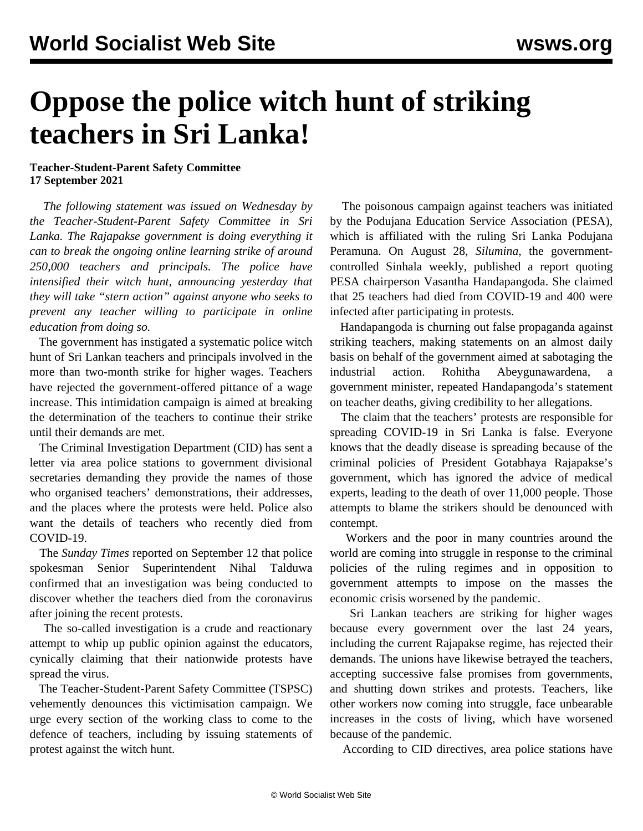## **Oppose the police witch hunt of striking teachers in Sri Lanka!**

## **Teacher-Student-Parent Safety Committee 17 September 2021**

 *The following statement was issued on Wednesday by the Teacher-Student-Parent Safety Committee in Sri Lanka. The Rajapakse government is doing everything it can to break the ongoing online learning strike of around 250,000 teachers and principals. The police have intensified their witch hunt, announcing yesterday that they will take "stern action" against anyone who seeks to prevent any teacher willing to participate in online education from doing so.*

 The government has instigated a systematic police witch hunt of Sri Lankan teachers and principals involved in the more than two-month strike for higher wages. Teachers have rejected the government-offered pittance of a wage increase. This intimidation campaign is aimed at breaking the determination of the teachers to continue their strike until their demands are met.

 The Criminal Investigation Department (CID) has sent a letter via area police stations to government divisional secretaries demanding they provide the names of those who organised teachers' demonstrations, their addresses, and the places where the protests were held. Police also want the details of teachers who recently died from COVID-19.

 The *Sunday Times* reported on September 12 that police spokesman Senior Superintendent Nihal Talduwa confirmed that an investigation was being conducted to discover whether the teachers died from the coronavirus after joining the recent protests.

 The so-called investigation is a crude and reactionary attempt to whip up public opinion against the educators, cynically claiming that their nationwide protests have spread the virus.

 The Teacher-Student-Parent Safety Committee (TSPSC) vehemently denounces this victimisation campaign. We urge every section of the working class to come to the defence of teachers, including by issuing statements of protest against the witch hunt.

 The poisonous campaign against teachers was initiated by the Podujana Education Service Association (PESA), which is affiliated with the ruling Sri Lanka Podujana Peramuna. On August 28, *Silumina*, the governmentcontrolled Sinhala weekly, published a report quoting PESA chairperson Vasantha Handapangoda. She claimed that 25 teachers had died from COVID-19 and 400 were infected after participating in protests.

 Handapangoda is churning out false propaganda against striking teachers, making statements on an almost daily basis on behalf of the government aimed at sabotaging the industrial action. Rohitha Abeygunawardena, a government minister, repeated Handapangoda's statement on teacher deaths, giving credibility to her allegations.

 The claim that the teachers' protests are responsible for spreading COVID-19 in Sri Lanka is false. Everyone knows that the deadly disease is spreading because of the criminal policies of President Gotabhaya Rajapakse's government, which has ignored the advice of medical experts, leading to the death of over 11,000 people. Those attempts to blame the strikers should be denounced with contempt.

 Workers and the poor in many countries around the world are coming into struggle in response to the criminal policies of the ruling regimes and in opposition to government attempts to impose on the masses the economic crisis worsened by the pandemic.

 Sri Lankan teachers are striking for higher wages because every government over the last 24 years, including the current Rajapakse regime, has rejected their demands. The unions have likewise betrayed the teachers, accepting successive false promises from governments, and shutting down strikes and protests. Teachers, like other workers now coming into struggle, face unbearable increases in the costs of living, which have worsened because of the pandemic.

According to CID directives, area police stations have